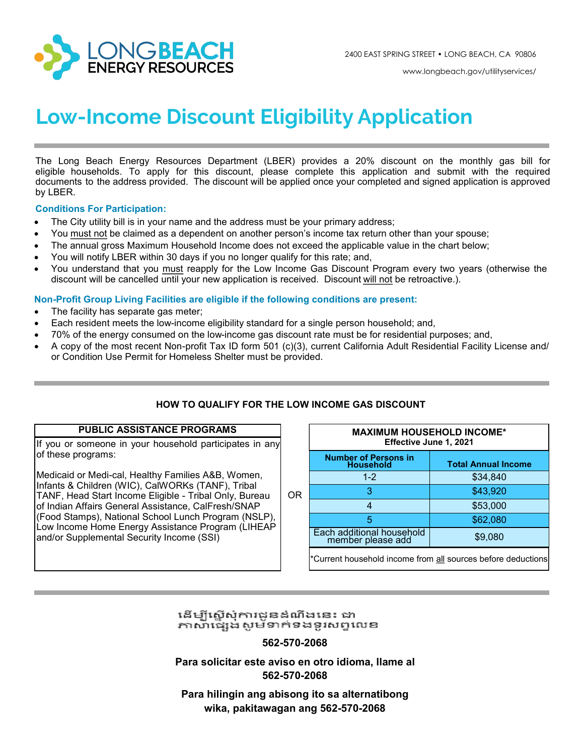

www.longbeach.gov/utilityservices/

# **Low-Income Discount Eligibility Application**

The Long Beach Energy Resources Department (LBER) provides a 20% discount on the monthly gas bill for eligible households. To apply for this discount, please complete this application and submit with the required documents to the address provided. The discount will be applied once your completed and signed application is approved by LBER.

#### **Conditions For Participation:**

- The City utility bill is in your name and the address must be your primary address;
- You must not be claimed as a dependent on another person's income tax return other than your spouse;
- The annual gross Maximum Household Income does not exceed the applicable value in the chart below;
- You will notify LBER within 30 days if you no longer qualify for this rate; and,
- You understand that you must reapply for the Low Income Gas Discount Program every two years (otherwise the discount will be cancelled until your new application is received. Discount will not be retroactive.).

#### **Non-Profit Group Living Facilities are eligible if the following conditions are present:**

- The facility has separate gas meter;
- Each resident meets the low-income eligibility standard for a single person household; and,
- 70% of the energy consumed on the low-income gas discount rate must be for residential purposes; and,
- A copy of the most recent Non-profit Tax ID form 501 (c)(3), current California Adult Residential Facility License and/ or Condition Use Permit for Homeless Shelter must be provided.

## **HOW TO QUALIFY FOR THE LOW INCOME GAS DISCOUNT**

#### **PUBLIC ASSISTANCE PROGRAMS**

If you or someone in your household participates in any of these programs:

Medicaid or Medi-cal, Healthy Families A&B, Women, Infants & Children (WIC), CalWORKs (TANF), Tribal TANF, Head Start Income Eligible - Tribal Only, Bureau of Indian Affairs General Assistance, CalFresh/SNAP (Food Stamps), National School Lunch Program (NSLP), Low Income Home Energy Assistance Program (LIHEAP and/or Supplemental Security Income (SSI)

|    |                                                             | <b>MAXIMUM HOUSEHOLD INCOME*</b><br>Effective June 1, 2021 |  |  |  |  |  |  |  |
|----|-------------------------------------------------------------|------------------------------------------------------------|--|--|--|--|--|--|--|
|    | <b>Number of Persons in</b><br><b>Household</b>             | <b>Total Annual Income</b>                                 |  |  |  |  |  |  |  |
|    | $1 - 2$                                                     | \$34,840                                                   |  |  |  |  |  |  |  |
| OR | 3                                                           | \$43,920                                                   |  |  |  |  |  |  |  |
|    | 4                                                           | \$53,000                                                   |  |  |  |  |  |  |  |
|    | 5                                                           | \$62,080                                                   |  |  |  |  |  |  |  |
|    | Each additional household<br>member please add              | \$9,080                                                    |  |  |  |  |  |  |  |
|    | Current household income from all sources before deductions |                                                            |  |  |  |  |  |  |  |

## ដើម្បីស្នើសុំការជូនដំណឹងនេះ ជា ភាសាផ្សេងសម័ទាក់ទងទូរសព្ទលេខ

## **562-570-2068**

**Para solicitar este aviso en otro idioma, llame al 562-570-2068**

**Para hilingin ang abisong ito sa alternatibong wika, pakitawagan ang 562-570-2068**